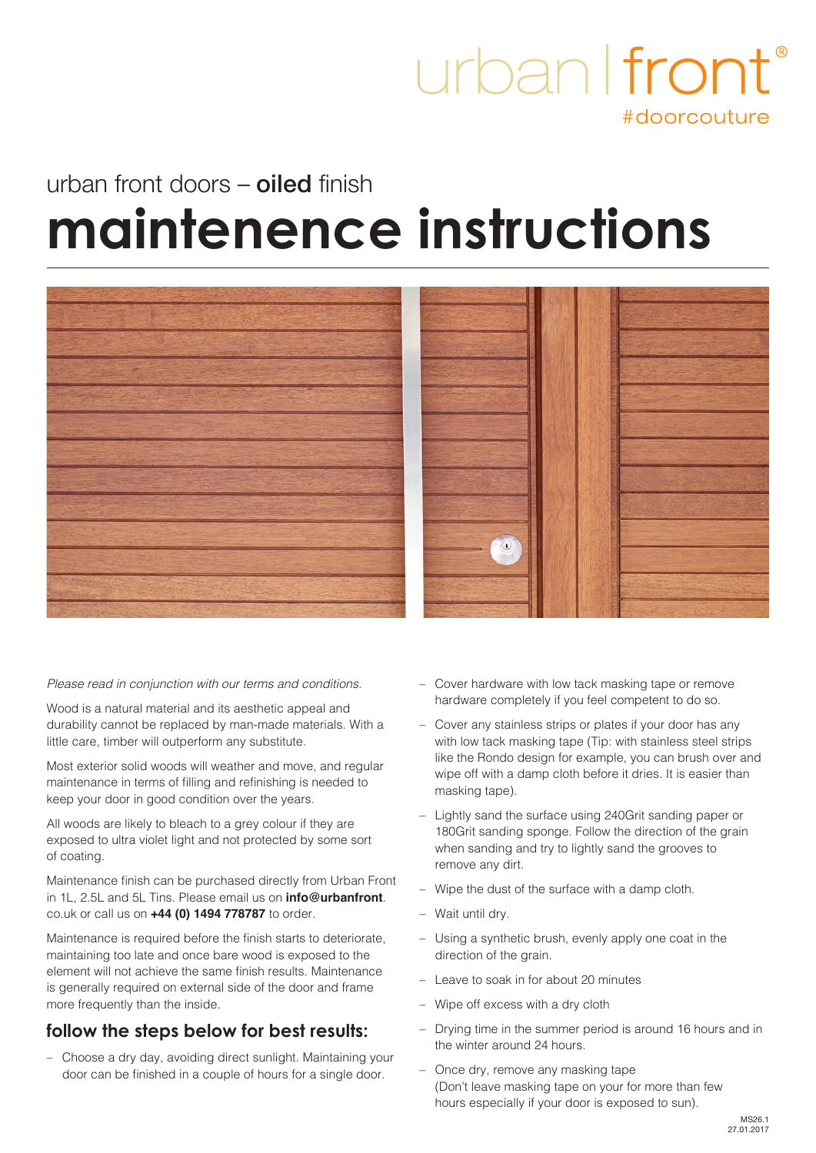### urban I front #doorcouture

# urban front doors – **oiled** finish **maintenence instructions**



#### *Please read in conjunction with our terms and conditions.*

Wood is a natural material and its aesthetic appeal and durability cannot be replaced by man-made materials. With a little care, timber will outperform any substitute.

Most exterior solid woods will weather and move, and regular maintenance in terms of filling and refinishing is needed to keep your door in good condition over the years.

All woods are likely to bleach to a grey colour if they are exposed to ultra violet light and not protected by some sort of coating.

Maintenance finish can be purchased directly from Urban Front in 1L, 2.5L and 5L Tins. Please email us on **info@urbanfront**. co.uk or call us on **+44 (0) 1494 778787** to order.

Maintenance is required before the finish starts to deteriorate, maintaining too late and once bare wood is exposed to the element will not achieve the same finish results. Maintenance is generally required on external side of the door and frame more frequently than the inside.

### **follow the steps below for best results:**

– Choose a dry day, avoiding direct sunlight. Maintaining your door can be finished in a couple of hours for a single door.

- Cover hardware with low tack masking tape or remove hardware completely if you feel competent to do so.
- Cover any stainless strips or plates if your door has any with low tack masking tape (Tip: with stainless steel strips like the Rondo design for example, you can brush over and wipe off with a damp cloth before it dries. It is easier than masking tape).
- Lightly sand the surface using 240Grit sanding paper or 180Grit sanding sponge. Follow the direction of the grain when sanding and try to lightly sand the grooves to remove any dirt.
- Wipe the dust of the surface with a damp cloth.
- Wait until dry.
- Using a synthetic brush, evenly apply one coat in the direction of the grain.
- Leave to soak in for about 20 minutes
- Wipe off excess with a dry cloth
- Drying time in the summer period is around 16 hours and in the winter around 24 hours.
- Once dry, remove any masking tape (Don't leave masking tape on your for more than few hours especially if your door is exposed to sun).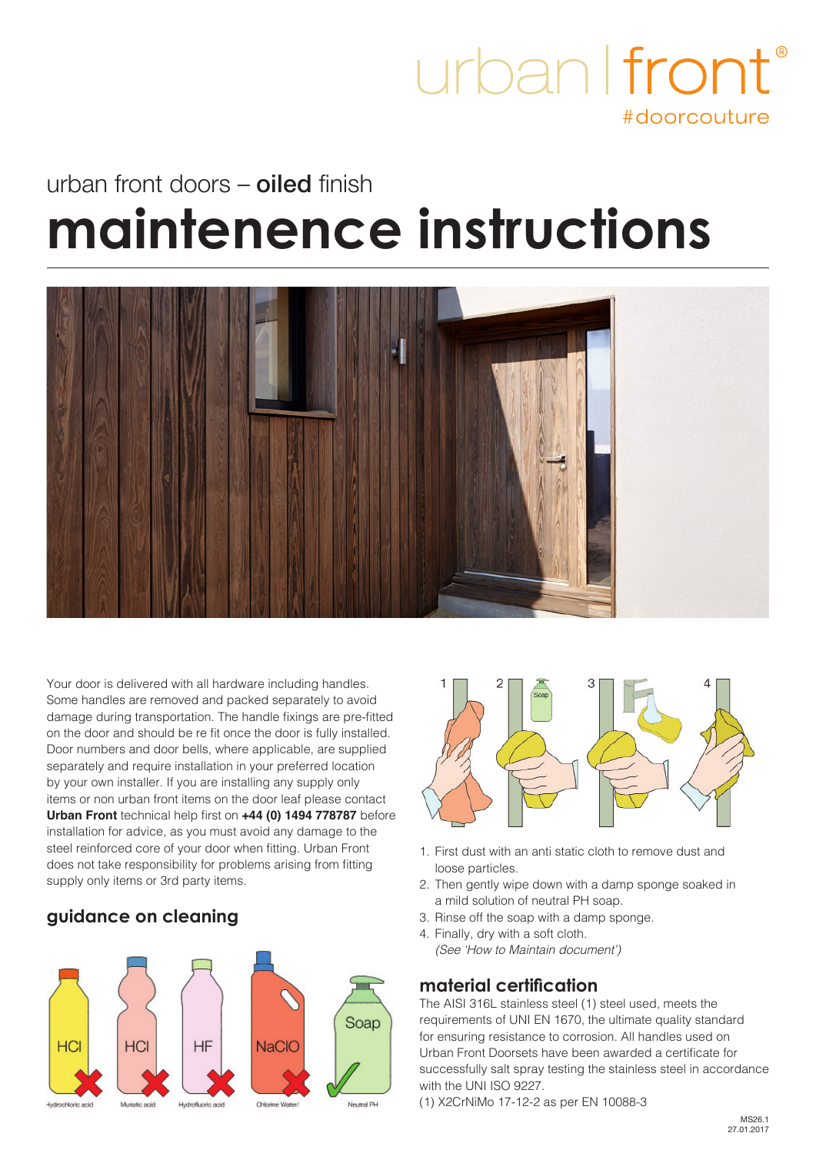

## urban front doors – **oiled** finish **maintenence instructions**



Your door is delivered with all hardware including handles. Some handles are removed and packed separately to avoid damage during transportation. The handle fixings are pre-fitted on the door and should be re fit once the door is fully installed. Door numbers and door bells, where applicable, are supplied separately and require installation in your preferred location by your own installer. If you are installing any supply only items or non urban front items on the door leaf please contact **Urban Front** technical help first on **+44 (0) 1494 778787** before installation for advice, as you must avoid any damage to the steel reinforced core of your door when fitting. Urban Front does not take responsibility for problems arising from fitting supply only items or 3rd party items.

### **guidance on cleaning**





- 1. First dust with an anti static cloth to remove dust and loose particles.
- 2. Then gently wipe down with a damp sponge soaked in a mild solution of neutral PH soap.
- 3. Rinse off the soap with a damp sponge.
- 4. Finally, dry with a soft cloth. *(See 'How to Maintain document')*

#### **material certification**

The AISI 316L stainless steel (1) steel used, meets the requirements of UNI EN 1670, the ultimate quality standard for ensuring resistance to corrosion. All handles used on Urban Front Doorsets have been awarded a certificate for successfully salt spray testing the stainless steel in accordance with the UNI ISO 9227.

(1) X2CrNiMo 17-12-2 as per EN 10088-3